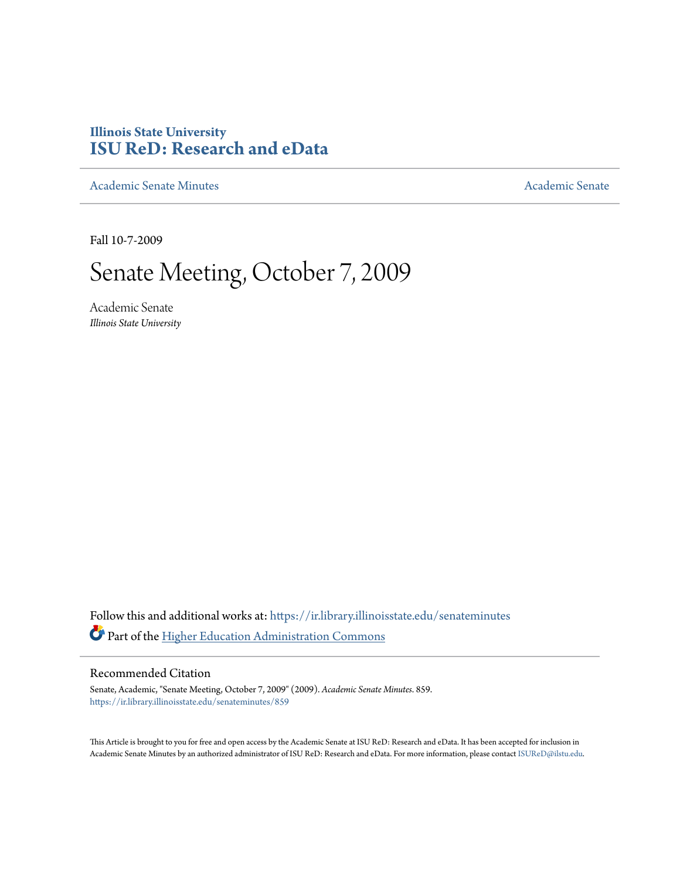# **Illinois State University [ISU ReD: Research and eData](https://ir.library.illinoisstate.edu?utm_source=ir.library.illinoisstate.edu%2Fsenateminutes%2F859&utm_medium=PDF&utm_campaign=PDFCoverPages)**

[Academic Senate Minutes](https://ir.library.illinoisstate.edu/senateminutes?utm_source=ir.library.illinoisstate.edu%2Fsenateminutes%2F859&utm_medium=PDF&utm_campaign=PDFCoverPages) [Academic Senate](https://ir.library.illinoisstate.edu/senate?utm_source=ir.library.illinoisstate.edu%2Fsenateminutes%2F859&utm_medium=PDF&utm_campaign=PDFCoverPages) Academic Senate

Fall 10-7-2009

# Senate Meeting, October 7, 2009

Academic Senate *Illinois State University*

Follow this and additional works at: [https://ir.library.illinoisstate.edu/senateminutes](https://ir.library.illinoisstate.edu/senateminutes?utm_source=ir.library.illinoisstate.edu%2Fsenateminutes%2F859&utm_medium=PDF&utm_campaign=PDFCoverPages) Part of the [Higher Education Administration Commons](http://network.bepress.com/hgg/discipline/791?utm_source=ir.library.illinoisstate.edu%2Fsenateminutes%2F859&utm_medium=PDF&utm_campaign=PDFCoverPages)

#### Recommended Citation

Senate, Academic, "Senate Meeting, October 7, 2009" (2009). *Academic Senate Minutes*. 859. [https://ir.library.illinoisstate.edu/senateminutes/859](https://ir.library.illinoisstate.edu/senateminutes/859?utm_source=ir.library.illinoisstate.edu%2Fsenateminutes%2F859&utm_medium=PDF&utm_campaign=PDFCoverPages)

This Article is brought to you for free and open access by the Academic Senate at ISU ReD: Research and eData. It has been accepted for inclusion in Academic Senate Minutes by an authorized administrator of ISU ReD: Research and eData. For more information, please contact [ISUReD@ilstu.edu.](mailto:ISUReD@ilstu.edu)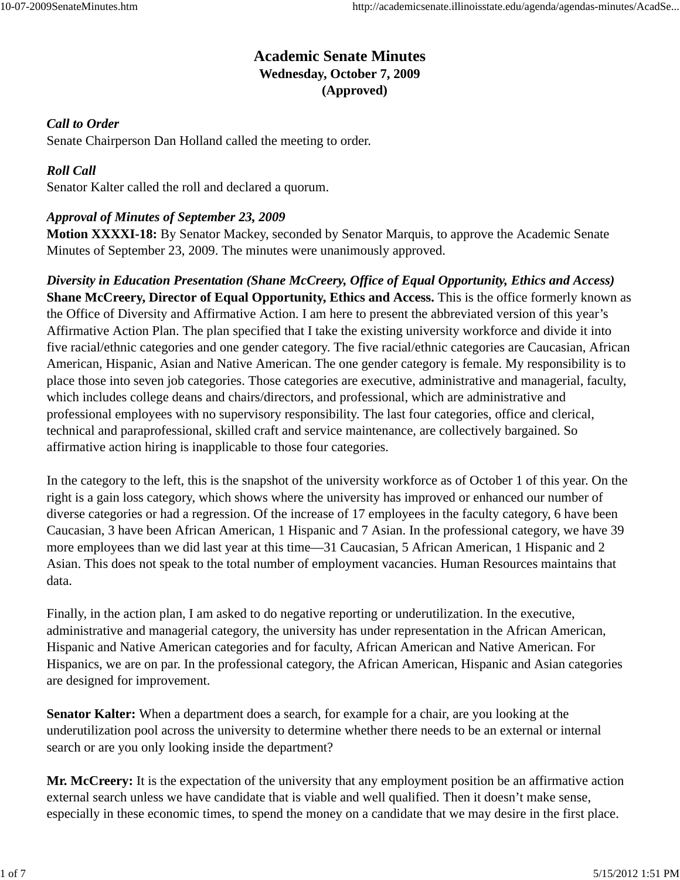# **Academic Senate Minutes Wednesday, October 7, 2009 (Approved)**

# *Call to Order*

Senate Chairperson Dan Holland called the meeting to order.

# *Roll Call*

Senator Kalter called the roll and declared a quorum.

# *Approval of Minutes of September 23, 2009*

**Motion XXXXI-18:** By Senator Mackey, seconded by Senator Marquis, to approve the Academic Senate Minutes of September 23, 2009. The minutes were unanimously approved.

*Diversity in Education Presentation (Shane McCreery, Office of Equal Opportunity, Ethics and Access)* **Shane McCreery, Director of Equal Opportunity, Ethics and Access.** This is the office formerly known as the Office of Diversity and Affirmative Action. I am here to present the abbreviated version of this year's Affirmative Action Plan. The plan specified that I take the existing university workforce and divide it into five racial/ethnic categories and one gender category. The five racial/ethnic categories are Caucasian, African American, Hispanic, Asian and Native American. The one gender category is female. My responsibility is to place those into seven job categories. Those categories are executive, administrative and managerial, faculty, which includes college deans and chairs/directors, and professional, which are administrative and professional employees with no supervisory responsibility. The last four categories, office and clerical, technical and paraprofessional, skilled craft and service maintenance, are collectively bargained. So affirmative action hiring is inapplicable to those four categories.

In the category to the left, this is the snapshot of the university workforce as of October 1 of this year. On the right is a gain loss category, which shows where the university has improved or enhanced our number of diverse categories or had a regression. Of the increase of 17 employees in the faculty category, 6 have been Caucasian, 3 have been African American, 1 Hispanic and 7 Asian. In the professional category, we have 39 more employees than we did last year at this time—31 Caucasian, 5 African American, 1 Hispanic and 2 Asian. This does not speak to the total number of employment vacancies. Human Resources maintains that data.

Finally, in the action plan, I am asked to do negative reporting or underutilization. In the executive, administrative and managerial category, the university has under representation in the African American, Hispanic and Native American categories and for faculty, African American and Native American. For Hispanics, we are on par. In the professional category, the African American, Hispanic and Asian categories are designed for improvement.

**Senator Kalter:** When a department does a search, for example for a chair, are you looking at the underutilization pool across the university to determine whether there needs to be an external or internal search or are you only looking inside the department?

**Mr. McCreery:** It is the expectation of the university that any employment position be an affirmative action external search unless we have candidate that is viable and well qualified. Then it doesn't make sense, especially in these economic times, to spend the money on a candidate that we may desire in the first place.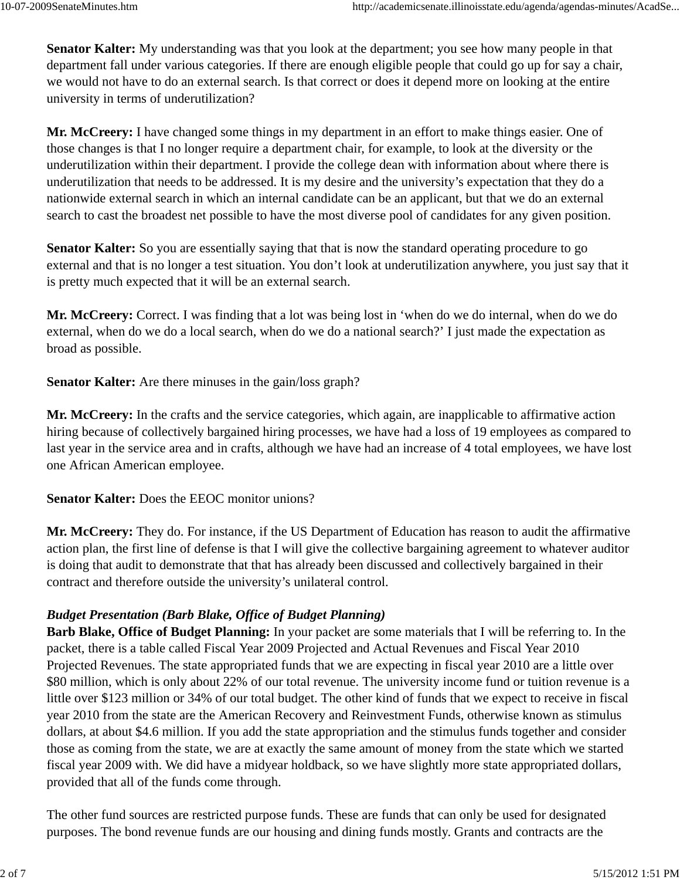**Senator Kalter:** My understanding was that you look at the department; you see how many people in that department fall under various categories. If there are enough eligible people that could go up for say a chair, we would not have to do an external search. Is that correct or does it depend more on looking at the entire university in terms of underutilization?

**Mr. McCreery:** I have changed some things in my department in an effort to make things easier. One of those changes is that I no longer require a department chair, for example, to look at the diversity or the underutilization within their department. I provide the college dean with information about where there is underutilization that needs to be addressed. It is my desire and the university's expectation that they do a nationwide external search in which an internal candidate can be an applicant, but that we do an external search to cast the broadest net possible to have the most diverse pool of candidates for any given position.

**Senator Kalter:** So you are essentially saying that that is now the standard operating procedure to go external and that is no longer a test situation. You don't look at underutilization anywhere, you just say that it is pretty much expected that it will be an external search.

**Mr. McCreery:** Correct. I was finding that a lot was being lost in 'when do we do internal, when do we do external, when do we do a local search, when do we do a national search?' I just made the expectation as broad as possible.

**Senator Kalter:** Are there minuses in the gain/loss graph?

**Mr. McCreery:** In the crafts and the service categories, which again, are inapplicable to affirmative action hiring because of collectively bargained hiring processes, we have had a loss of 19 employees as compared to last year in the service area and in crafts, although we have had an increase of 4 total employees, we have lost one African American employee.

**Senator Kalter:** Does the EEOC monitor unions?

**Mr. McCreery:** They do. For instance, if the US Department of Education has reason to audit the affirmative action plan, the first line of defense is that I will give the collective bargaining agreement to whatever auditor is doing that audit to demonstrate that that has already been discussed and collectively bargained in their contract and therefore outside the university's unilateral control.

#### *Budget Presentation (Barb Blake, Office of Budget Planning)*

**Barb Blake, Office of Budget Planning:** In your packet are some materials that I will be referring to. In the packet, there is a table called Fiscal Year 2009 Projected and Actual Revenues and Fiscal Year 2010 Projected Revenues. The state appropriated funds that we are expecting in fiscal year 2010 are a little over \$80 million, which is only about 22% of our total revenue. The university income fund or tuition revenue is a little over \$123 million or 34% of our total budget. The other kind of funds that we expect to receive in fiscal year 2010 from the state are the American Recovery and Reinvestment Funds, otherwise known as stimulus dollars, at about \$4.6 million. If you add the state appropriation and the stimulus funds together and consider those as coming from the state, we are at exactly the same amount of money from the state which we started fiscal year 2009 with. We did have a midyear holdback, so we have slightly more state appropriated dollars, provided that all of the funds come through.

The other fund sources are restricted purpose funds. These are funds that can only be used for designated purposes. The bond revenue funds are our housing and dining funds mostly. Grants and contracts are the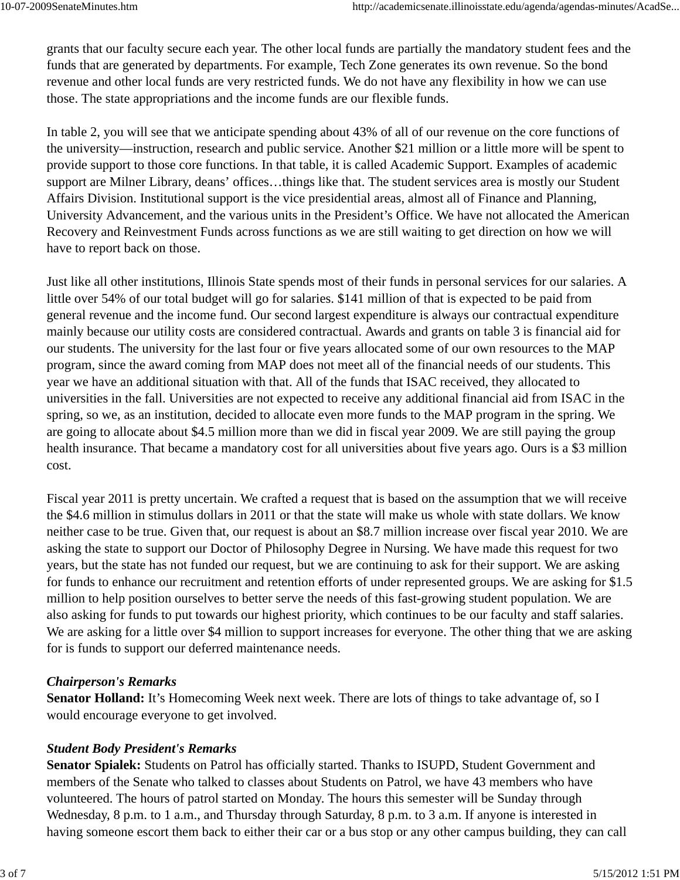grants that our faculty secure each year. The other local funds are partially the mandatory student fees and the funds that are generated by departments. For example, Tech Zone generates its own revenue. So the bond revenue and other local funds are very restricted funds. We do not have any flexibility in how we can use those. The state appropriations and the income funds are our flexible funds.

In table 2, you will see that we anticipate spending about 43% of all of our revenue on the core functions of the university—instruction, research and public service. Another \$21 million or a little more will be spent to provide support to those core functions. In that table, it is called Academic Support. Examples of academic support are Milner Library, deans' offices…things like that. The student services area is mostly our Student Affairs Division. Institutional support is the vice presidential areas, almost all of Finance and Planning, University Advancement, and the various units in the President's Office. We have not allocated the American Recovery and Reinvestment Funds across functions as we are still waiting to get direction on how we will have to report back on those.

Just like all other institutions, Illinois State spends most of their funds in personal services for our salaries. A little over 54% of our total budget will go for salaries. \$141 million of that is expected to be paid from general revenue and the income fund. Our second largest expenditure is always our contractual expenditure mainly because our utility costs are considered contractual. Awards and grants on table 3 is financial aid for our students. The university for the last four or five years allocated some of our own resources to the MAP program, since the award coming from MAP does not meet all of the financial needs of our students. This year we have an additional situation with that. All of the funds that ISAC received, they allocated to universities in the fall. Universities are not expected to receive any additional financial aid from ISAC in the spring, so we, as an institution, decided to allocate even more funds to the MAP program in the spring. We are going to allocate about \$4.5 million more than we did in fiscal year 2009. We are still paying the group health insurance. That became a mandatory cost for all universities about five years ago. Ours is a \$3 million cost.

Fiscal year 2011 is pretty uncertain. We crafted a request that is based on the assumption that we will receive the \$4.6 million in stimulus dollars in 2011 or that the state will make us whole with state dollars. We know neither case to be true. Given that, our request is about an \$8.7 million increase over fiscal year 2010. We are asking the state to support our Doctor of Philosophy Degree in Nursing. We have made this request for two years, but the state has not funded our request, but we are continuing to ask for their support. We are asking for funds to enhance our recruitment and retention efforts of under represented groups. We are asking for \$1.5 million to help position ourselves to better serve the needs of this fast-growing student population. We are also asking for funds to put towards our highest priority, which continues to be our faculty and staff salaries. We are asking for a little over \$4 million to support increases for everyone. The other thing that we are asking for is funds to support our deferred maintenance needs.

#### *Chairperson's Remarks*

**Senator Holland:** It's Homecoming Week next week. There are lots of things to take advantage of, so I would encourage everyone to get involved.

# *Student Body President's Remarks*

**Senator Spialek:** Students on Patrol has officially started. Thanks to ISUPD, Student Government and members of the Senate who talked to classes about Students on Patrol, we have 43 members who have volunteered. The hours of patrol started on Monday. The hours this semester will be Sunday through Wednesday, 8 p.m. to 1 a.m., and Thursday through Saturday, 8 p.m. to 3 a.m. If anyone is interested in having someone escort them back to either their car or a bus stop or any other campus building, they can call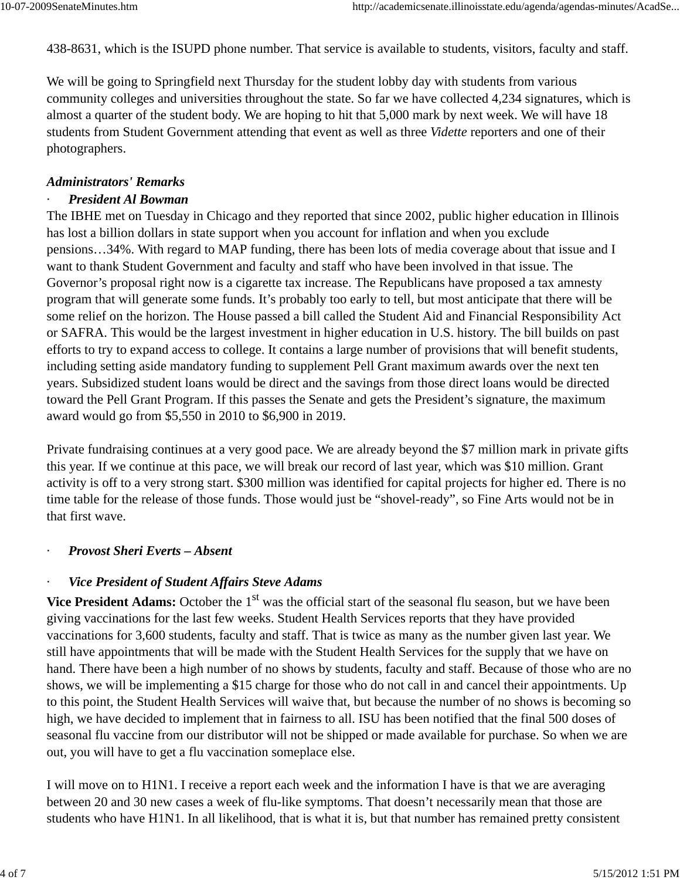438-8631, which is the ISUPD phone number. That service is available to students, visitors, faculty and staff.

We will be going to Springfield next Thursday for the student lobby day with students from various community colleges and universities throughout the state. So far we have collected 4,234 signatures, which is almost a quarter of the student body. We are hoping to hit that 5,000 mark by next week. We will have 18 students from Student Government attending that event as well as three *Vidette* reporters and one of their photographers.

#### *Administrators' Remarks*

#### · *President Al Bowman*

The IBHE met on Tuesday in Chicago and they reported that since 2002, public higher education in Illinois has lost a billion dollars in state support when you account for inflation and when you exclude pensions…34%. With regard to MAP funding, there has been lots of media coverage about that issue and I want to thank Student Government and faculty and staff who have been involved in that issue. The Governor's proposal right now is a cigarette tax increase. The Republicans have proposed a tax amnesty program that will generate some funds. It's probably too early to tell, but most anticipate that there will be some relief on the horizon. The House passed a bill called the Student Aid and Financial Responsibility Act or SAFRA. This would be the largest investment in higher education in U.S. history. The bill builds on past efforts to try to expand access to college. It contains a large number of provisions that will benefit students, including setting aside mandatory funding to supplement Pell Grant maximum awards over the next ten years. Subsidized student loans would be direct and the savings from those direct loans would be directed toward the Pell Grant Program. If this passes the Senate and gets the President's signature, the maximum award would go from \$5,550 in 2010 to \$6,900 in 2019.

Private fundraising continues at a very good pace. We are already beyond the \$7 million mark in private gifts this year. If we continue at this pace, we will break our record of last year, which was \$10 million. Grant activity is off to a very strong start. \$300 million was identified for capital projects for higher ed. There is no time table for the release of those funds. Those would just be "shovel-ready", so Fine Arts would not be in that first wave.

#### · *Provost Sheri Everts – Absent*

# **Vice President of Student Affairs Steve Adams**

**Vice President Adams:** October the 1<sup>st</sup> was the official start of the seasonal flu season, but we have been giving vaccinations for the last few weeks. Student Health Services reports that they have provided vaccinations for 3,600 students, faculty and staff. That is twice as many as the number given last year. We still have appointments that will be made with the Student Health Services for the supply that we have on hand. There have been a high number of no shows by students, faculty and staff. Because of those who are no shows, we will be implementing a \$15 charge for those who do not call in and cancel their appointments. Up to this point, the Student Health Services will waive that, but because the number of no shows is becoming so high, we have decided to implement that in fairness to all. ISU has been notified that the final 500 doses of seasonal flu vaccine from our distributor will not be shipped or made available for purchase. So when we are out, you will have to get a flu vaccination someplace else.

I will move on to H1N1. I receive a report each week and the information I have is that we are averaging between 20 and 30 new cases a week of flu-like symptoms. That doesn't necessarily mean that those are students who have H1N1. In all likelihood, that is what it is, but that number has remained pretty consistent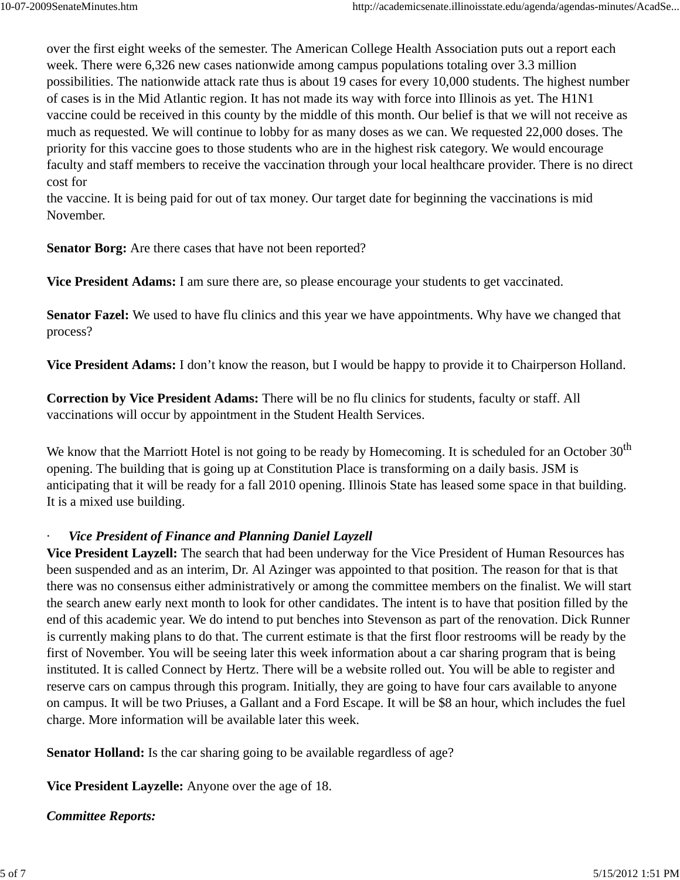over the first eight weeks of the semester. The American College Health Association puts out a report each week. There were 6,326 new cases nationwide among campus populations totaling over 3.3 million possibilities. The nationwide attack rate thus is about 19 cases for every 10,000 students. The highest number of cases is in the Mid Atlantic region. It has not made its way with force into Illinois as yet. The H1N1 vaccine could be received in this county by the middle of this month. Our belief is that we will not receive as much as requested. We will continue to lobby for as many doses as we can. We requested 22,000 doses. The priority for this vaccine goes to those students who are in the highest risk category. We would encourage faculty and staff members to receive the vaccination through your local healthcare provider. There is no direct cost for

the vaccine. It is being paid for out of tax money. Our target date for beginning the vaccinations is mid November.

**Senator Borg:** Are there cases that have not been reported?

**Vice President Adams:** I am sure there are, so please encourage your students to get vaccinated.

**Senator Fazel:** We used to have flu clinics and this year we have appointments. Why have we changed that process?

**Vice President Adams:** I don't know the reason, but I would be happy to provide it to Chairperson Holland.

**Correction by Vice President Adams:** There will be no flu clinics for students, faculty or staff. All vaccinations will occur by appointment in the Student Health Services.

We know that the Marriott Hotel is not going to be ready by Homecoming. It is scheduled for an October  $30<sup>th</sup>$ opening. The building that is going up at Constitution Place is transforming on a daily basis. JSM is anticipating that it will be ready for a fall 2010 opening. Illinois State has leased some space in that building. It is a mixed use building.

#### **Vice President of Finance and Planning Daniel Layzell**

**Vice President Layzell:** The search that had been underway for the Vice President of Human Resources has been suspended and as an interim, Dr. Al Azinger was appointed to that position. The reason for that is that there was no consensus either administratively or among the committee members on the finalist. We will start the search anew early next month to look for other candidates. The intent is to have that position filled by the end of this academic year. We do intend to put benches into Stevenson as part of the renovation. Dick Runner is currently making plans to do that. The current estimate is that the first floor restrooms will be ready by the first of November. You will be seeing later this week information about a car sharing program that is being instituted. It is called Connect by Hertz. There will be a website rolled out. You will be able to register and reserve cars on campus through this program. Initially, they are going to have four cars available to anyone on campus. It will be two Priuses, a Gallant and a Ford Escape. It will be \$8 an hour, which includes the fuel charge. More information will be available later this week.

**Senator Holland:** Is the car sharing going to be available regardless of age?

**Vice President Layzelle:** Anyone over the age of 18.

#### *Committee Reports:*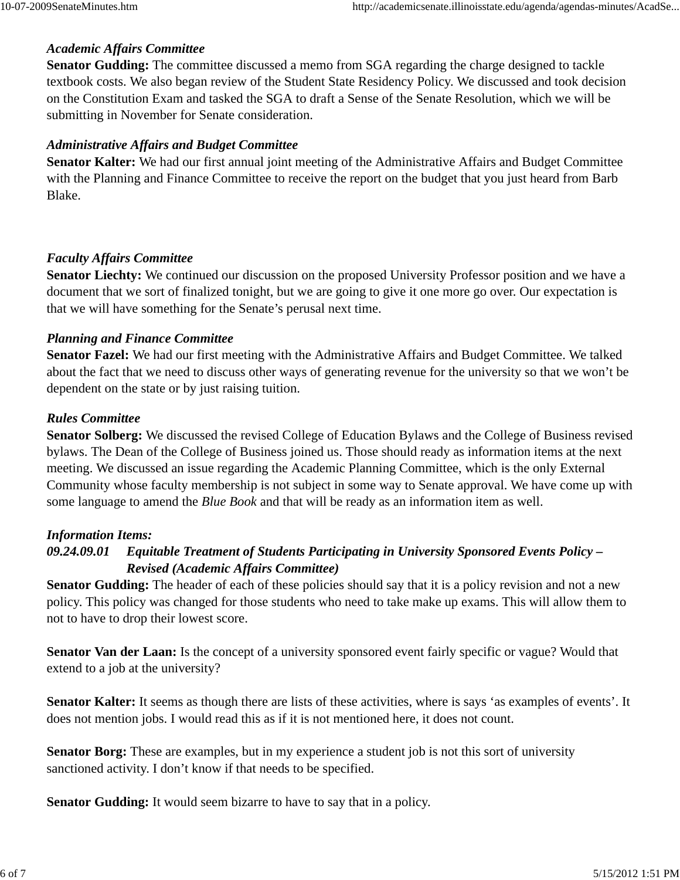# *Academic Affairs Committee*

**Senator Gudding:** The committee discussed a memo from SGA regarding the charge designed to tackle textbook costs. We also began review of the Student State Residency Policy. We discussed and took decision on the Constitution Exam and tasked the SGA to draft a Sense of the Senate Resolution, which we will be submitting in November for Senate consideration.

# *Administrative Affairs and Budget Committee*

**Senator Kalter:** We had our first annual joint meeting of the Administrative Affairs and Budget Committee with the Planning and Finance Committee to receive the report on the budget that you just heard from Barb Blake.

# *Faculty Affairs Committee*

**Senator Liechty:** We continued our discussion on the proposed University Professor position and we have a document that we sort of finalized tonight, but we are going to give it one more go over. Our expectation is that we will have something for the Senate's perusal next time.

# *Planning and Finance Committee*

**Senator Fazel:** We had our first meeting with the Administrative Affairs and Budget Committee. We talked about the fact that we need to discuss other ways of generating revenue for the university so that we won't be dependent on the state or by just raising tuition.

# *Rules Committee*

**Senator Solberg:** We discussed the revised College of Education Bylaws and the College of Business revised bylaws. The Dean of the College of Business joined us. Those should ready as information items at the next meeting. We discussed an issue regarding the Academic Planning Committee, which is the only External Community whose faculty membership is not subject in some way to Senate approval. We have come up with some language to amend the *Blue Book* and that will be ready as an information item as well.

#### *Information Items:*

# *09.24.09.01 Equitable Treatment of Students Participating in University Sponsored Events Policy – Revised (Academic Affairs Committee)*

**Senator Gudding:** The header of each of these policies should say that it is a policy revision and not a new policy. This policy was changed for those students who need to take make up exams. This will allow them to not to have to drop their lowest score.

**Senator Van der Laan:** Is the concept of a university sponsored event fairly specific or vague? Would that extend to a job at the university?

Senator Kalter: It seems as though there are lists of these activities, where is says 'as examples of events'. It does not mention jobs. I would read this as if it is not mentioned here, it does not count.

**Senator Borg:** These are examples, but in my experience a student job is not this sort of university sanctioned activity. I don't know if that needs to be specified.

**Senator Gudding:** It would seem bizarre to have to say that in a policy.